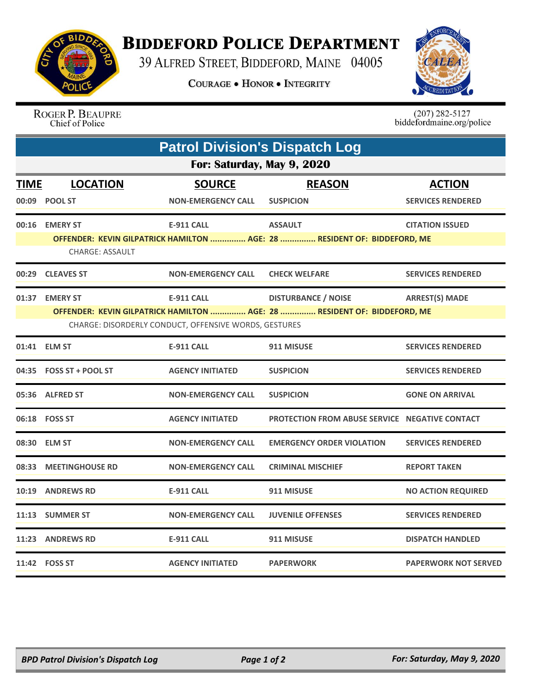

## **BIDDEFORD POLICE DEPARTMENT**

39 ALFRED STREET, BIDDEFORD, MAINE 04005

**COURAGE . HONOR . INTEGRITY** 



ROGER P. BEAUPRE Chief of Police

 $(207)$  282-5127<br>biddefordmaine.org/police

| <b>Patrol Division's Dispatch Log</b>                                                                                             |                         |                           |                                                                          |                             |  |  |  |
|-----------------------------------------------------------------------------------------------------------------------------------|-------------------------|---------------------------|--------------------------------------------------------------------------|-----------------------------|--|--|--|
| For: Saturday, May 9, 2020                                                                                                        |                         |                           |                                                                          |                             |  |  |  |
| <b>TIME</b>                                                                                                                       | <b>LOCATION</b>         | <b>SOURCE</b>             | <b>REASON</b>                                                            | <b>ACTION</b>               |  |  |  |
|                                                                                                                                   | 00:09 POOL ST           | <b>NON-EMERGENCY CALL</b> | <b>SUSPICION</b>                                                         | <b>SERVICES RENDERED</b>    |  |  |  |
|                                                                                                                                   | 00:16 EMERY ST          | <b>E-911 CALL</b>         | <b>ASSAULT</b>                                                           | <b>CITATION ISSUED</b>      |  |  |  |
|                                                                                                                                   | <b>CHARGE: ASSAULT</b>  |                           | OFFENDER: KEVIN GILPATRICK HAMILTON  AGE: 28  RESIDENT OF: BIDDEFORD, ME |                             |  |  |  |
|                                                                                                                                   | 00:29 CLEAVES ST        | <b>NON-EMERGENCY CALL</b> | <b>CHECK WELFARE</b>                                                     | <b>SERVICES RENDERED</b>    |  |  |  |
|                                                                                                                                   | 01:37 EMERY ST          | <b>E-911 CALL</b>         | <b>DISTURBANCE / NOISE</b>                                               | <b>ARREST(S) MADE</b>       |  |  |  |
| OFFENDER: KEVIN GILPATRICK HAMILTON  AGE: 28  RESIDENT OF: BIDDEFORD, ME<br>CHARGE: DISORDERLY CONDUCT, OFFENSIVE WORDS, GESTURES |                         |                           |                                                                          |                             |  |  |  |
|                                                                                                                                   | 01:41 ELM ST            | <b>E-911 CALL</b>         | 911 MISUSE                                                               | <b>SERVICES RENDERED</b>    |  |  |  |
|                                                                                                                                   | 04:35 FOSS ST + POOL ST | <b>AGENCY INITIATED</b>   | <b>SUSPICION</b>                                                         | <b>SERVICES RENDERED</b>    |  |  |  |
|                                                                                                                                   | 05:36 ALFRED ST         | <b>NON-EMERGENCY CALL</b> | <b>SUSPICION</b>                                                         | <b>GONE ON ARRIVAL</b>      |  |  |  |
|                                                                                                                                   | 06:18 FOSS ST           | <b>AGENCY INITIATED</b>   | <b>PROTECTION FROM ABUSE SERVICE NEGATIVE CONTACT</b>                    |                             |  |  |  |
|                                                                                                                                   | 08:30 ELM ST            | <b>NON-EMERGENCY CALL</b> | <b>EMERGENCY ORDER VIOLATION</b>                                         | <b>SERVICES RENDERED</b>    |  |  |  |
| 08:33                                                                                                                             | <b>MEETINGHOUSE RD</b>  | <b>NON-EMERGENCY CALL</b> | <b>CRIMINAL MISCHIEF</b>                                                 | <b>REPORT TAKEN</b>         |  |  |  |
| 10:19                                                                                                                             | <b>ANDREWS RD</b>       | <b>E-911 CALL</b>         | 911 MISUSE                                                               | <b>NO ACTION REQUIRED</b>   |  |  |  |
|                                                                                                                                   | 11:13 SUMMER ST         | <b>NON-EMERGENCY CALL</b> | <b>JUVENILE OFFENSES</b>                                                 | <b>SERVICES RENDERED</b>    |  |  |  |
|                                                                                                                                   | 11:23 ANDREWS RD        | <b>E-911 CALL</b>         | 911 MISUSE                                                               | <b>DISPATCH HANDLED</b>     |  |  |  |
|                                                                                                                                   | 11:42    FOSS ST        | <b>AGENCY INITIATED</b>   | <b>PAPERWORK</b>                                                         | <b>PAPERWORK NOT SERVED</b> |  |  |  |